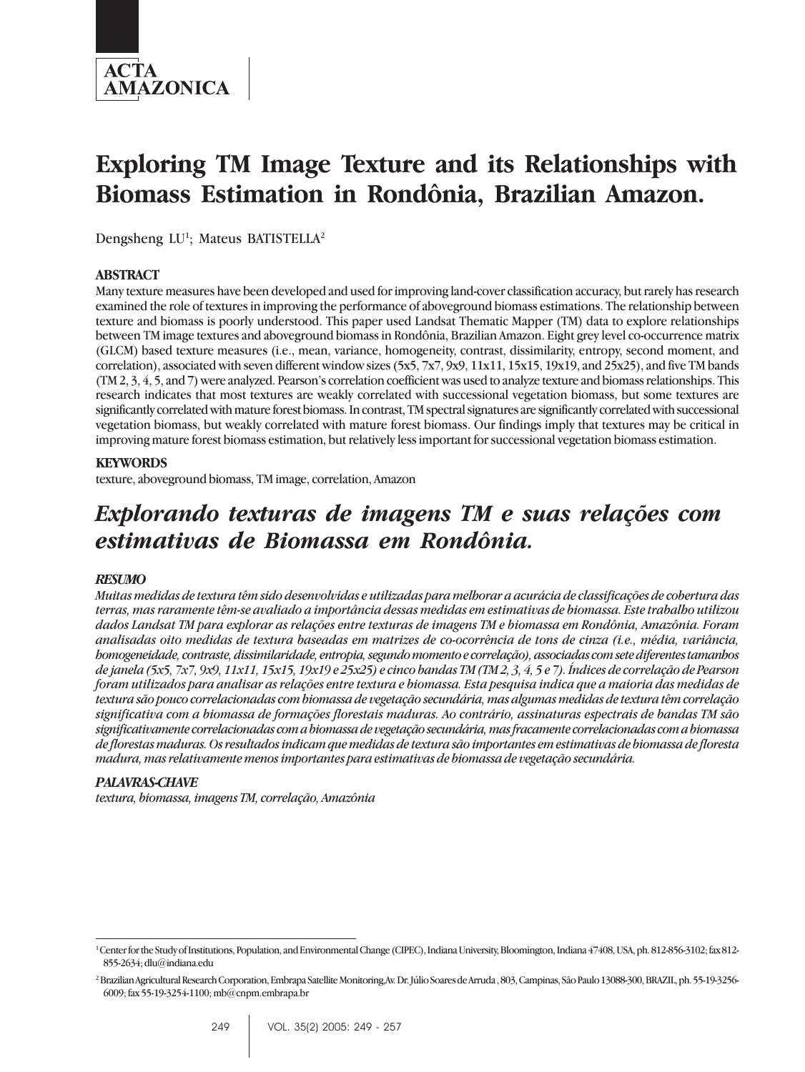

# **Exploring TM Image Texture and its Relationships with Biomass Estimation in Rondônia, Brazilian Amazon.**

Dengsheng LU<sup>1</sup>; Mateus BATISTELLA<sup>2</sup>

#### **ABSTRACT**

Many texture measures have been developed and used for improving land-cover classification accuracy, but rarely has research examined the role of textures in improving the performance of aboveground biomass estimations. The relationship between texture and biomass is poorly understood. This paper used Landsat Thematic Mapper (TM) data to explore relationships between TM image textures and aboveground biomass in Rondônia, Brazilian Amazon. Eight grey level co-occurrence matrix (GLCM) based texture measures (i.e., mean, variance, homogeneity, contrast, dissimilarity, entropy, second moment, and correlation), associated with seven different window sizes (5x5, 7x7, 9x9, 11x11, 15x15, 19x19, and 25x25), and five TM bands (TM 2, 3, 4, 5, and 7) were analyzed. Pearson's correlation coefficient was used to analyze texture and biomass relationships. This research indicates that most textures are weakly correlated with successional vegetation biomass, but some textures are significantly correlated with mature forest biomass. In contrast, TM spectral signatures are significantly correlated with successional vegetation biomass, but weakly correlated with mature forest biomass. Our findings imply that textures may be critical in improving mature forest biomass estimation, but relatively less important for successional vegetation biomass estimation.

#### **KEYWORDS**

texture, aboveground biomass, TM image, correlation, Amazon

## *Explorando texturas de imagens TM e suas relações com estimativas de Biomassa em Rondônia.*

#### *RESUMO*

*Muitas medidas de textura têm sido desenvolvidas e utilizadas para melhorar a acurácia de classificações de cobertura das terras, mas raramente têm-se avaliado a importância dessas medidas em estimativas de biomassa. Este trabalho utilizou dados Landsat TM para explorar as relações entre texturas de imagens TM e biomassa em Rondônia, Amazônia. Foram analisadas oito medidas de textura baseadas em matrizes de co-ocorrência de tons de cinza (i.e., média, variância, homogeneidade, contraste, dissimilaridade, entropia, segundo momento e correlação), associadas com sete diferentes tamanhos de janela (5x5, 7x7, 9x9, 11x11, 15x15, 19x19 e 25x25) e cinco bandas TM (TM 2, 3, 4, 5 e 7). Índices de correlação de Pearson foram utilizados para analisar as relações entre textura e biomassa. Esta pesquisa indica que a maioria das medidas de textura são pouco correlacionadas com biomassa de vegetação secundária, mas algumas medidas de textura têm correlação significativa com a biomassa de formações florestais maduras. Ao contrário, assinaturas espectrais de bandas TM são significativamente correlacionadas com a biomassa de vegetação secundária, mas fracamente correlacionadas com a biomassa de florestas maduras. Os resultados indicam que medidas de textura são importantes em estimativas de biomassa de floresta madura, mas relativamente menos importantes para estimativas de biomassa de vegetação secundária.*

#### *PALAVRAS-CHAVE*

*textura, biomassa, imagens TM, correlação, Amazônia*

<sup>&</sup>lt;sup>1</sup> Center for the Study of Institutions, Population, and Environmental Change (CIPEC), Indiana University, Bloomington, Indiana 47408, USA, ph. 812-856-3102; fax 812-855-2634; dlu@indiana.edu

<sup>2</sup> Brazilian Agricultural Research Corporation, Embrapa Satellite Monitoring,Av. Dr. Júlio Soares de Arruda , 803, Campinas, São Paulo 13088-300, BRAZIL, ph. 55-19-3256- 6009; fax 55-19-3254-1100; mb@cnpm.embrapa.br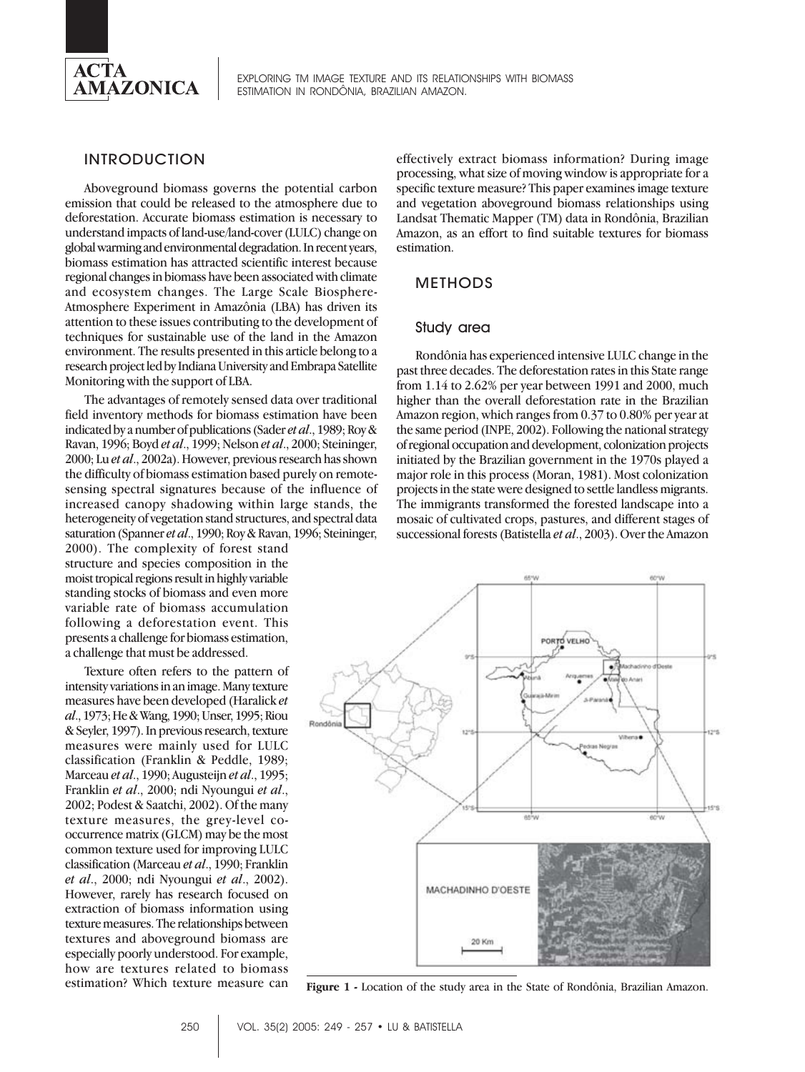

EXPLORING TM IMAGE TEXTURE AND ITS RELATIONSHIPS WITH BIOMASS ESTIMATION IN RONDÔNIA, BRAZILIAN AMAZON.

#### INTRODUCTION

Aboveground biomass governs the potential carbon emission that could be released to the atmosphere due to deforestation. Accurate biomass estimation is necessary to understand impacts of land-use/land-cover (LULC) change on global warming and environmental degradation. In recent years, biomass estimation has attracted scientific interest because regional changes in biomass have been associated with climate and ecosystem changes. The Large Scale Biosphere-Atmosphere Experiment in Amazônia (LBA) has driven its attention to these issues contributing to the development of techniques for sustainable use of the land in the Amazon environment. The results presented in this article belong to a research project led by Indiana University and Embrapa Satellite Monitoring with the support of LBA.

The advantages of remotely sensed data over traditional field inventory methods for biomass estimation have been indicated by a number of publications (Sader *et al*., 1989; Roy & Ravan, 1996; Boyd *et al*., 1999; Nelson *et al*., 2000; Steininger, 2000; Lu *et al*., 2002a). However, previous research has shown the difficulty of biomass estimation based purely on remotesensing spectral signatures because of the influence of increased canopy shadowing within large stands, the heterogeneity of vegetation stand structures, and spectral data saturation (Spanner *et al*., 1990; Roy & Ravan, 1996; Steininger,

2000). The complexity of forest stand structure and species composition in the moist tropical regions result in highly variable standing stocks of biomass and even more variable rate of biomass accumulation following a deforestation event. This presents a challenge for biomass estimation, a challenge that must be addressed.

Texture often refers to the pattern of intensity variations in an image. Many texture measures have been developed (Haralick *et al*., 1973; He & Wang, 1990; Unser, 1995; Riou & Seyler, 1997). In previous research, texture measures were mainly used for LULC classification (Franklin & Peddle, 1989; Marceau *et al*., 1990; Augusteijn *et al*., 1995; Franklin *et al*., 2000; ndi Nyoungui *et al*., 2002; Podest & Saatchi, 2002). Of the many texture measures, the grey-level cooccurrence matrix (GLCM) may be the most common texture used for improving LULC classification (Marceau *et al*., 1990; Franklin *et al*., 2000; ndi Nyoungui *et al*., 2002). However, rarely has research focused on extraction of biomass information using texture measures. The relationships between textures and aboveground biomass are especially poorly understood. For example, how are textures related to biomass estimation? Which texture measure can

effectively extract biomass information? During image processing, what size of moving window is appropriate for a specific texture measure? This paper examines image texture and vegetation aboveground biomass relationships using Landsat Thematic Mapper (TM) data in Rondônia, Brazilian Amazon, as an effort to find suitable textures for biomass estimation.

#### METHODS

#### Study area

Rondônia has experienced intensive LULC change in the past three decades. The deforestation rates in this State range from 1.14 to 2.62% per year between 1991 and 2000, much higher than the overall deforestation rate in the Brazilian Amazon region, which ranges from 0.37 to 0.80% per year at the same period (INPE, 2002). Following the national strategy of regional occupation and development, colonization projects initiated by the Brazilian government in the 1970s played a major role in this process (Moran, 1981). Most colonization projects in the state were designed to settle landless migrants. The immigrants transformed the forested landscape into a mosaic of cultivated crops, pastures, and different stages of successional forests (Batistella *et al*., 2003). Over the Amazon



**Figure 1 -** Location of the study area in the State of Rondônia, Brazilian Amazon.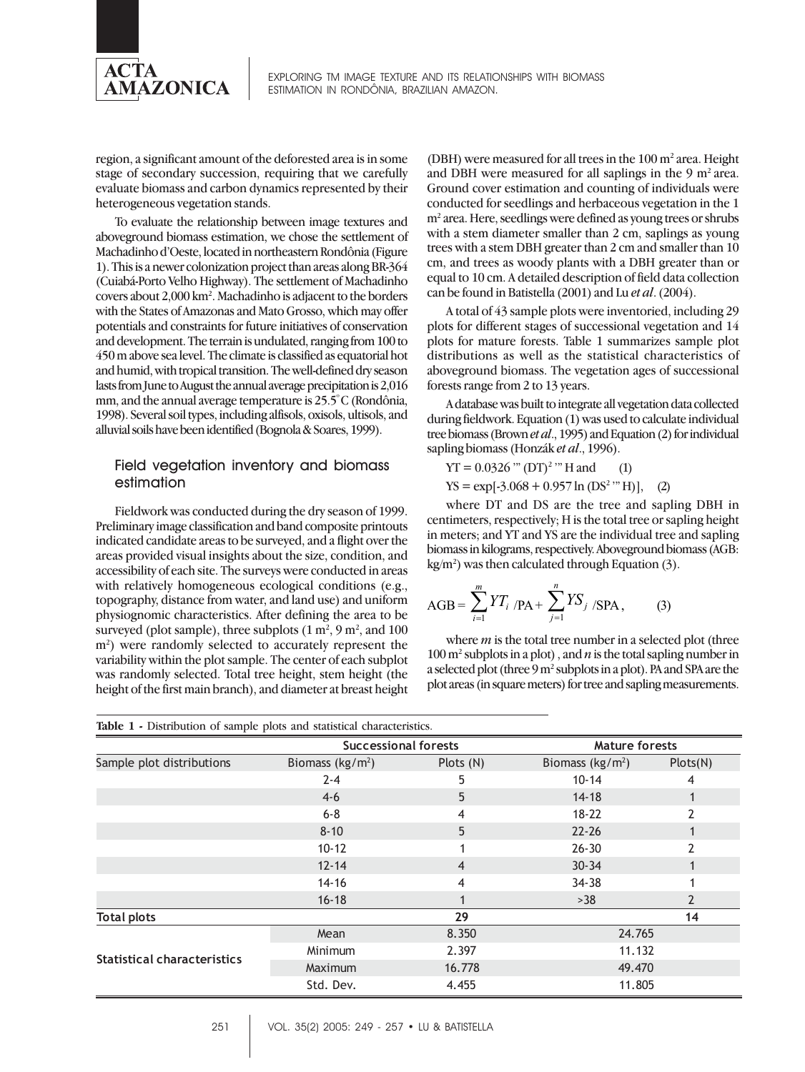

EXPLORING TM IMAGE TEXTURE AND ITS RELATIONSHIPS WITH BIOMASS ESTIMATION IN RONDÔNIA, BRAZILIAN AMAZON.

region, a significant amount of the deforested area is in some stage of secondary succession, requiring that we carefully evaluate biomass and carbon dynamics represented by their heterogeneous vegetation stands.

To evaluate the relationship between image textures and aboveground biomass estimation, we chose the settlement of Machadinho d'Oeste, located in northeastern Rondônia (Figure 1). This is a newer colonization project than areas along BR-364 (Cuiabá-Porto Velho Highway). The settlement of Machadinho covers about 2,000 km<sup>2</sup>. Machadinho is adjacent to the borders with the States of Amazonas and Mato Grosso, which may offer potentials and constraints for future initiatives of conservation and development. The terrain is undulated, ranging from 100 to 450 m above sea level. The climate is classified as equatorial hot and humid, with tropical transition. The well-defined dry season lasts from June to August the annual average precipitation is 2,016 mm, and the annual average temperature is 25.5º C (Rondônia, 1998). Several soil types, including alfisols, oxisols, ultisols, and alluvial soils have been identified (Bognola & Soares, 1999).

#### Field vegetation inventory and biomass estimation

Fieldwork was conducted during the dry season of 1999. Preliminary image classification and band composite printouts indicated candidate areas to be surveyed, and a flight over the areas provided visual insights about the size, condition, and accessibility of each site. The surveys were conducted in areas with relatively homogeneous ecological conditions (e.g., topography, distance from water, and land use) and uniform physiognomic characteristics. After defining the area to be surveyed (plot sample), three subplots  $(1 \text{ m}^2, 9 \text{ m}^2, \text{ and } 100$ m<sup>2</sup>) were randomly selected to accurately represent the variability within the plot sample. The center of each subplot was randomly selected. Total tree height, stem height (the height of the first main branch), and diameter at breast height

(DBH) were measured for all trees in the  $100 \text{ m}^2$  area. Height and DBH were measured for all saplings in the 9  $m<sup>2</sup>$  area. Ground cover estimation and counting of individuals were conducted for seedlings and herbaceous vegetation in the 1 m2 area. Here, seedlings were defined as young trees or shrubs with a stem diameter smaller than 2 cm, saplings as young trees with a stem DBH greater than 2 cm and smaller than 10 cm, and trees as woody plants with a DBH greater than or equal to 10 cm. A detailed description of field data collection can be found in Batistella (2001) and Lu *et al*. (2004).

A total of 43 sample plots were inventoried, including 29 plots for different stages of successional vegetation and 14 plots for mature forests. Table 1 summarizes sample plot distributions as well as the statistical characteristics of aboveground biomass. The vegetation ages of successional forests range from 2 to 13 years.

A database was built to integrate all vegetation data collected during fieldwork. Equation (1) was used to calculate individual tree biomass (Brown *et al*., 1995) and Equation (2) for individual sapling biomass (Honzák *et al*., 1996).

 $YT = 0.0326$  '"  $(DT)^2$  '" H and (1)

 $YS = exp[-3.068 + 0.957 \ln(DS<sup>2</sup> " H)],$  (2)

where DT and DS are the tree and sapling DBH in centimeters, respectively; H is the total tree or sapling height in meters; and YT and YS are the individual tree and sapling biomass in kilograms, respectively. Aboveground biomass (AGB:  $kg/m<sup>2</sup>$ ) was then calculated through Equation (3).

$$
AGB = \sum_{i=1}^{m} YT_i / PA + \sum_{j=1}^{n} YS_j / SPA, \qquad (3)
$$

where *m* is the total tree number in a selected plot (three  $100 \text{ m}^2$  subplots in a plot), and *n* is the total sapling number in a selected plot (three 9 m<sup>2</sup> subplots in a plot). PA and SPA are the plot areas (in square meters) for tree and sapling measurements.

| Table 1 - Distribution of sample plots and statistical characteristics. |                             |                  |                             |                |  |  |
|-------------------------------------------------------------------------|-----------------------------|------------------|-----------------------------|----------------|--|--|
|                                                                         | <b>Successional forests</b> |                  | <b>Mature forests</b>       |                |  |  |
| Sample plot distributions                                               | Biomass ( $\text{kg/m}^2$ ) | Plots (N)        | Biomass ( $\text{kg/m}^2$ ) | Plots(N)       |  |  |
|                                                                         | $2 - 4$                     | 5                | $10 - 14$                   | 4              |  |  |
|                                                                         | $4-6$                       | 5<br>$14 - 18$   |                             |                |  |  |
|                                                                         | $6 - 8$                     | $18 - 22$<br>4   |                             |                |  |  |
|                                                                         | $8 - 10$                    | 5                | $22 - 26$                   |                |  |  |
|                                                                         | $10 - 12$                   | 1                | $26 - 30$                   | 2              |  |  |
|                                                                         | $12 - 14$                   | 4                | $30 - 34$                   |                |  |  |
|                                                                         | $14 - 16$                   | 4                | $34 - 38$                   |                |  |  |
|                                                                         | $16 - 18$                   |                  | >38                         | $\overline{2}$ |  |  |
| <b>Total plots</b>                                                      |                             | 29               |                             | 14             |  |  |
|                                                                         | Mean                        | 8.350<br>24.765  |                             |                |  |  |
|                                                                         | Minimum                     | 2.397            | 11.132                      |                |  |  |
| <b>Statistical characteristics</b>                                      | Maximum                     | 16.778<br>49.470 |                             |                |  |  |
|                                                                         | Std. Dev.                   | 4.455            |                             | 11.805         |  |  |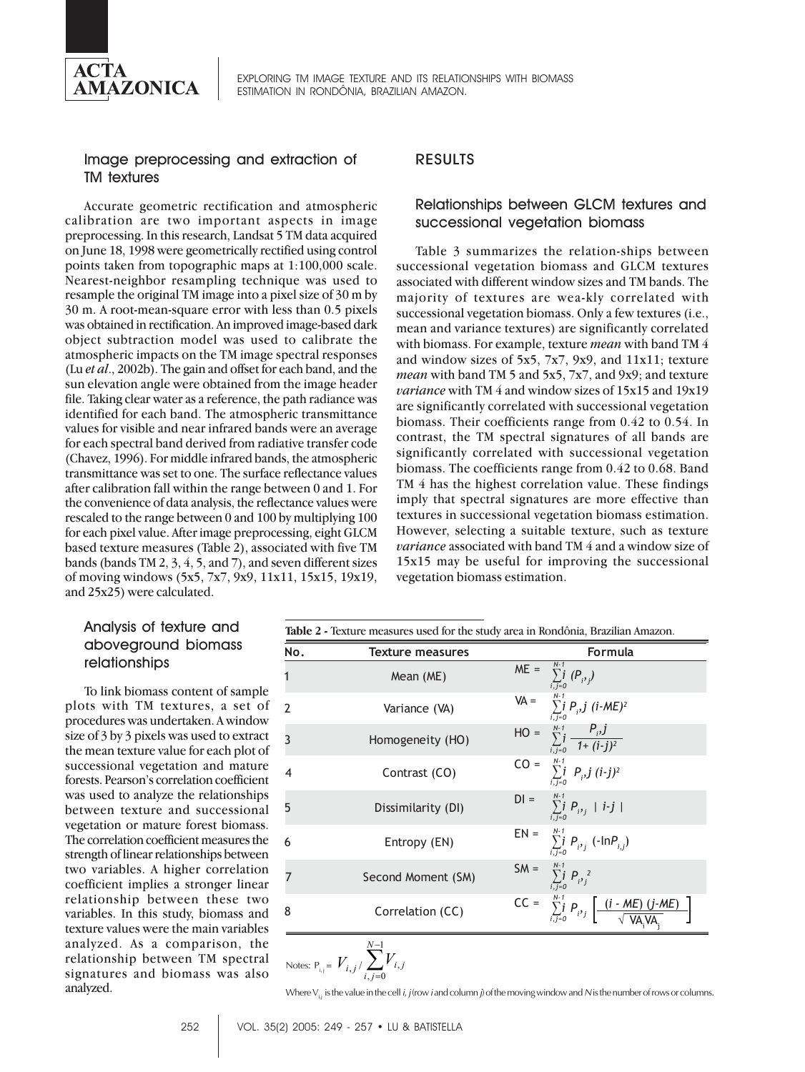

#### Image preprocessing and extraction of TM textures

Accurate geometric rectification and atmospheric calibration are two important aspects in image preprocessing. In this research, Landsat 5 TM data acquired on June 18, 1998 were geometrically rectified using control points taken from topographic maps at 1:100,000 scale. Nearest-neighbor resampling technique was used to resample the original TM image into a pixel size of 30 m by 30 m. A root-mean-square error with less than 0.5 pixels was obtained in rectification. An improved image-based dark object subtraction model was used to calibrate the atmospheric impacts on the TM image spectral responses (Lu *et al*., 2002b). The gain and offset for each band, and the sun elevation angle were obtained from the image header file. Taking clear water as a reference, the path radiance was identified for each band. The atmospheric transmittance values for visible and near infrared bands were an average for each spectral band derived from radiative transfer code (Chavez, 1996). For middle infrared bands, the atmospheric transmittance was set to one. The surface reflectance values after calibration fall within the range between 0 and 1. For the convenience of data analysis, the reflectance values were rescaled to the range between 0 and 100 by multiplying 100 for each pixel value. After image preprocessing, eight GLCM based texture measures (Table 2), associated with five TM bands (bands TM 2, 3, 4, 5, and 7), and seven different sizes of moving windows (5x5, 7x7, 9x9, 11x11, 15x15, 19x19, and 25x25) were calculated.

## RESULTS

## Relationships between GLCM textures and successional vegetation biomass

Table 3 summarizes the relation-ships between successional vegetation biomass and GLCM textures associated with different window sizes and TM bands. The majority of textures are wea-kly correlated with successional vegetation biomass. Only a few textures (i.e., mean and variance textures) are significantly correlated with biomass. For example, texture *mean* with band TM 4 and window sizes of 5x5, 7x7, 9x9, and 11x11; texture *mean* with band TM 5 and 5x5, 7x7, and 9x9; and texture *variance* with TM 4 and window sizes of 15x15 and 19x19 are significantly correlated with successional vegetation biomass. Their coefficients range from 0.42 to 0.54. In contrast, the TM spectral signatures of all bands are significantly correlated with successional vegetation biomass. The coefficients range from 0.42 to 0.68. Band TM 4 has the highest correlation value. These findings imply that spectral signatures are more effective than textures in successional vegetation biomass estimation. However, selecting a suitable texture, such as texture *variance* associated with band TM 4 and a window size of 15x15 may be useful for improving the successional vegetation biomass estimation.

## Analysis of texture and aboveground biomass relationships

To link biomass content of sample plots with TM textures, a set of procedures was undertaken. A window size of 3 by 3 pixels was used to extract the mean texture value for each plot of successional vegetation and mature forests. Pearson's correlation coefficient was used to analyze the relationships between texture and successional vegetation or mature forest biomass. The correlation coefficient measures the strength of linear relationships between two variables. A higher correlation coefficient implies a stronger linear relationship between these two variables. In this study, biomass and texture values were the main variables analyzed. As a comparison, the relationship between TM spectral signatures and biomass was also analyzed.

**Table 2 -** Texture measures used for the study area in Rondônia, Brazilian Amazon.

| No.            | <b>Texture measures</b> | <b>Formula</b>                                                                                         |
|----------------|-------------------------|--------------------------------------------------------------------------------------------------------|
|                | Mean (ME)               | $ME = \sum_{i,j=0}^{N-1} (P_{i},j)$                                                                    |
| $\mathcal{P}$  | Variance (VA)           | VA = $\sum_{i,j=0}^{N-1} P_{i,j} j (i-ME)^{2}$                                                         |
| 3              | Homogeneity (HO)        | HO = $\sum_{i,j=0}^{N-1} \frac{P_{i},j}{1+(i-j)^{2}}$                                                  |
| $\overline{4}$ | Contrast (CO)           | $CO = \sum_{i,j=0}^{N-1} P_{i,j} (i-j)^2$                                                              |
| 5              | Dissimilarity (DI)      | $D I = \sum_{j,i=0}^{N-1} P_{i^j j}  i-j $                                                             |
| 6              | Entropy (EN)            | $EN = \sum_{i,j=0}^{N-1} P_{i^j j} (-InP_{i,j})$                                                       |
| 7              | Second Moment (SM)      | SM = $\sum_{i,j=0}^{N-1} P_{i,j}^2$                                                                    |
| 8              | Correlation (CC)        | $CC = \sum_{i,j=0}^{N-1} P_{i,j} \left[ \frac{(i \cdot ME) (j \cdot ME)}{\sqrt{VA_{i}VA_{i}}} \right]$ |
|                |                         |                                                                                                        |

Notes: 
$$
P_{i,j} = V_{i,j} / \sum_{i,j=0}^{N-1} V_{i,j}
$$

Where  $V_i$  is the value in the cell *i*, *j* (row *i* and column *j*) of the moving window and *N* is the number of rows or columns.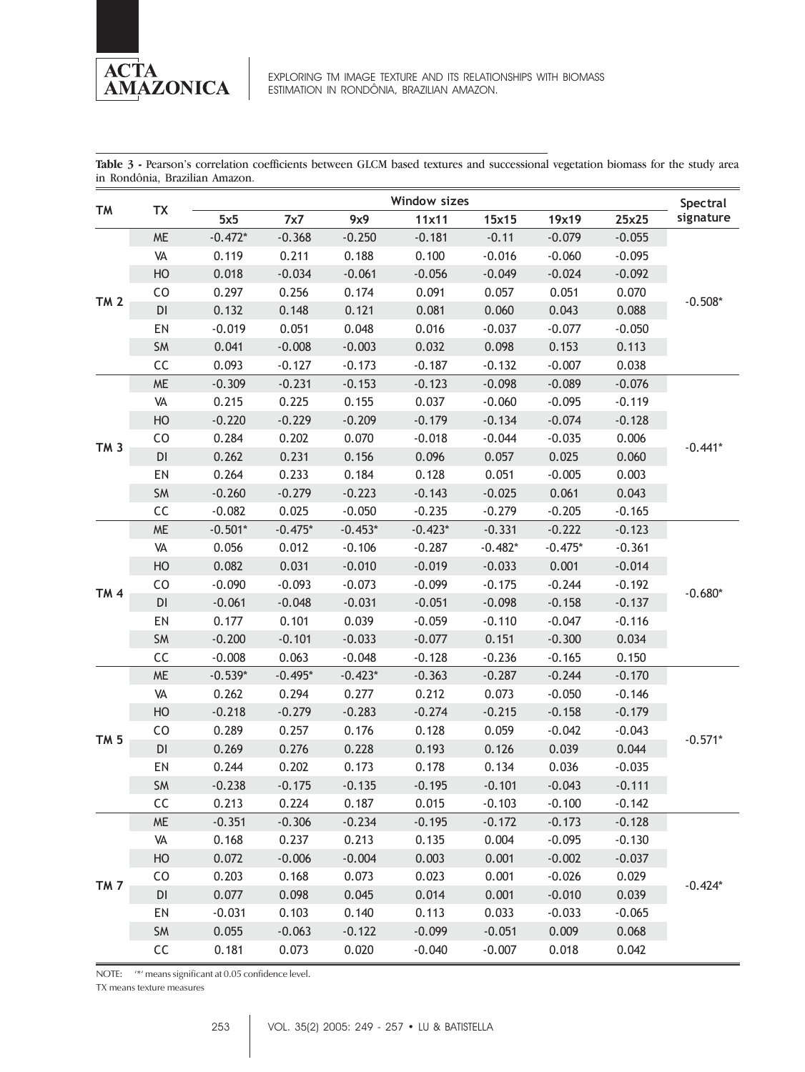

**Table 3 -** Pearson's correlation coefficients between GLCM based textures and successional vegetation biomass for the study area in Rondônia, Brazilian Amazon.

| TM              | TX                     | Window sizes |           |           |           |           |           |          | Spectral  |
|-----------------|------------------------|--------------|-----------|-----------|-----------|-----------|-----------|----------|-----------|
|                 |                        | 5x5          | 7x7       | 9x9       | 11x11     | 15x15     | 19x19     | 25x25    | signature |
|                 | <b>ME</b>              | $-0.472*$    | $-0.368$  | $-0.250$  | $-0.181$  | $-0.11$   | $-0.079$  | $-0.055$ | $-0.508*$ |
|                 | VA                     | 0.119        | 0.211     | 0.188     | 0.100     | $-0.016$  | $-0.060$  | $-0.095$ |           |
| <b>TM 2</b>     | HO                     | 0.018        | $-0.034$  | $-0.061$  | $-0.056$  | $-0.049$  | $-0.024$  | $-0.092$ |           |
|                 | CO                     | 0.297        | 0.256     | 0.174     | 0.091     | 0.057     | 0.051     | 0.070    |           |
|                 | $\mathsf{D}\mathsf{I}$ | 0.132        | 0.148     | 0.121     | 0.081     | 0.060     | 0.043     | 0.088    |           |
|                 | EN                     | $-0.019$     | 0.051     | 0.048     | 0.016     | $-0.037$  | $-0.077$  | $-0.050$ |           |
|                 | SM                     | 0.041        | $-0.008$  | $-0.003$  | 0.032     | 0.098     | 0.153     | 0.113    |           |
|                 | CC                     | 0.093        | $-0.127$  | $-0.173$  | $-0.187$  | $-0.132$  | $-0.007$  | 0.038    |           |
|                 | <b>ME</b>              | $-0.309$     | $-0.231$  | $-0.153$  | $-0.123$  | $-0.098$  | $-0.089$  | $-0.076$ |           |
|                 | VA                     | 0.215        | 0.225     | 0.155     | 0.037     | $-0.060$  | $-0.095$  | $-0.119$ |           |
|                 | HO                     | $-0.220$     | $-0.229$  | $-0.209$  | $-0.179$  | $-0.134$  | $-0.074$  | $-0.128$ |           |
|                 | CO                     | 0.284        | 0.202     | 0.070     | $-0.018$  | $-0.044$  | $-0.035$  | 0.006    |           |
| TM <sub>3</sub> | DI                     | 0.262        | 0.231     | 0.156     | 0.096     | 0.057     | 0.025     | 0.060    | $-0.441*$ |
|                 | EN                     | 0.264        | 0.233     | 0.184     | 0.128     | 0.051     | $-0.005$  | 0.003    |           |
|                 | SM                     | $-0.260$     | $-0.279$  | $-0.223$  | $-0.143$  | $-0.025$  | 0.061     | 0.043    |           |
|                 | CC                     | $-0.082$     | 0.025     | $-0.050$  | $-0.235$  | $-0.279$  | $-0.205$  | $-0.165$ |           |
|                 | <b>ME</b>              | $-0.501*$    | $-0.475*$ | $-0.453*$ | $-0.423*$ | $-0.331$  | $-0.222$  | $-0.123$ | $-0.680*$ |
|                 | VA                     | 0.056        | 0.012     | $-0.106$  | $-0.287$  | $-0.482*$ | $-0.475*$ | $-0.361$ |           |
|                 | HO                     | 0.082        | 0.031     | $-0.010$  | $-0.019$  | $-0.033$  | 0.001     | $-0.014$ |           |
|                 | CO                     | $-0.090$     | $-0.093$  | $-0.073$  | $-0.099$  | $-0.175$  | $-0.244$  | $-0.192$ |           |
| <b>TM4</b>      | $\mathsf{D}\mathsf{I}$ | $-0.061$     | $-0.048$  | $-0.031$  | $-0.051$  | $-0.098$  | $-0.158$  | $-0.137$ |           |
|                 | EN                     | 0.177        | 0.101     | 0.039     | $-0.059$  | $-0.110$  | $-0.047$  | $-0.116$ |           |
|                 | SM                     | $-0.200$     | $-0.101$  | $-0.033$  | $-0.077$  | 0.151     | $-0.300$  | 0.034    |           |
|                 | CC                     | $-0.008$     | 0.063     | $-0.048$  | $-0.128$  | $-0.236$  | $-0.165$  | 0.150    |           |
|                 | <b>ME</b>              | $-0.539*$    | $-0.495*$ | $-0.423*$ | $-0.363$  | $-0.287$  | $-0.244$  | $-0.170$ | $-0.571*$ |
|                 | VA                     | 0.262        | 0.294     | 0.277     | 0.212     | 0.073     | $-0.050$  | $-0.146$ |           |
|                 | HO                     | $-0.218$     | $-0.279$  | $-0.283$  | $-0.274$  | $-0.215$  | $-0.158$  | $-0.179$ |           |
|                 | CO                     | 0.289        | 0.257     | 0.176     | 0.128     | 0.059     | $-0.042$  | $-0.043$ |           |
| <b>TM 5</b>     | DI                     | 0.269        | 0.276     | 0.228     | 0.193     | 0.126     | 0.039     | 0.044    |           |
|                 | EN                     | 0.244        | 0.202     | 0.173     | 0.178     | 0.134     | 0.036     | $-0.035$ |           |
|                 | SM                     | $-0.238$     | $-0.175$  | $-0.135$  | $-0.195$  | $-0.101$  | $-0.043$  | $-0.111$ |           |
|                 | CC                     | 0.213        | 0.224     | 0.187     | 0.015     | $-0.103$  | $-0.100$  | $-0.142$ |           |
|                 | <b>ME</b>              | $-0.351$     | $-0.306$  | $-0.234$  | $-0.195$  | $-0.172$  | $-0.173$  | $-0.128$ |           |
| TM <sub>7</sub> | VA                     | 0.168        | 0.237     | 0.213     | 0.135     | 0.004     | $-0.095$  | $-0.130$ | $-0.424*$ |
|                 | HO                     | 0.072        | $-0.006$  | $-0.004$  | 0.003     | 0.001     | $-0.002$  | $-0.037$ |           |
|                 | CO                     | 0.203        | 0.168     | 0.073     | 0.023     | 0.001     | $-0.026$  | 0.029    |           |
|                 | $\mathsf{D}\mathsf{I}$ | 0.077        | 0.098     | 0.045     | 0.014     | 0.001     | $-0.010$  | 0.039    |           |
|                 | EN                     | $-0.031$     | 0.103     | 0.140     | 0.113     | 0.033     | $-0.033$  | $-0.065$ |           |
|                 | SM                     | 0.055        | $-0.063$  | $-0.122$  | $-0.099$  | $-0.051$  | 0.009     | 0.068    |           |
|                 | CC                     | 0.181        | 0.073     | 0.020     | $-0.040$  | $-0.007$  | 0.018     | 0.042    |           |

NOTE: '\*' means significant at 0.05 confidence level.

TX means texture measures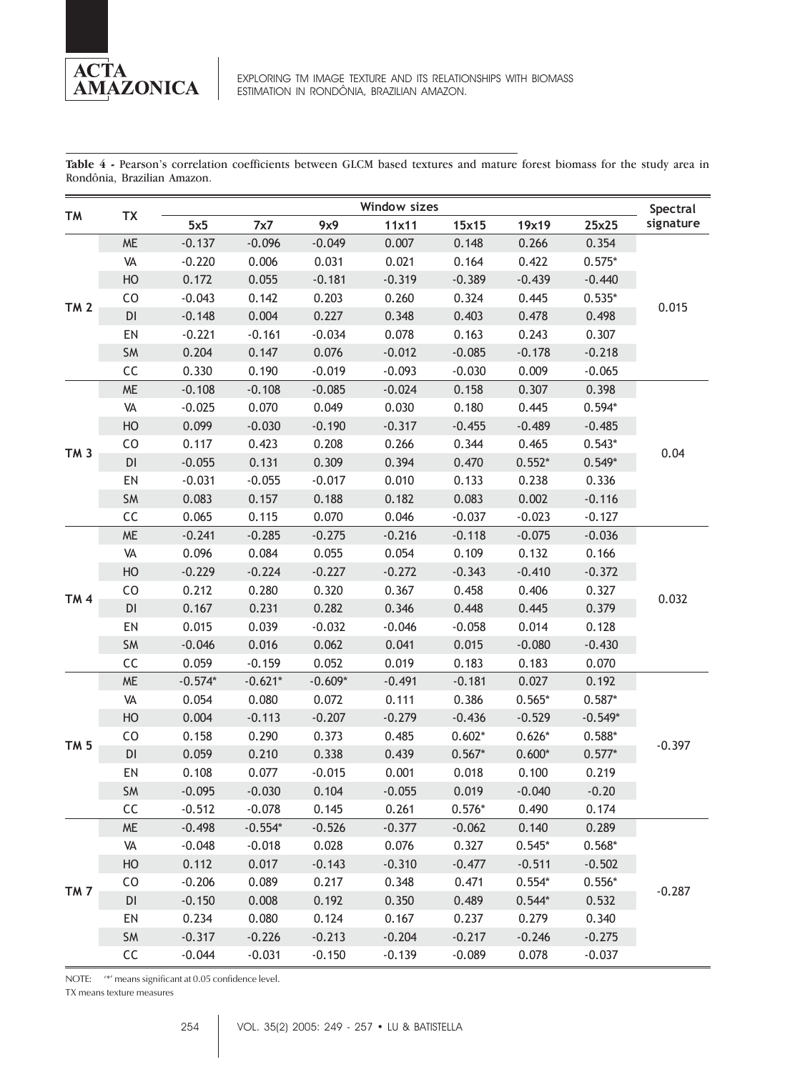

**Table 4 -** Pearson's correlation coefficients between GLCM based textures and mature forest biomass for the study area in Rondônia, Brazilian Amazon.

|                 |           | Window sizes |           |           |          |          |          |           | Spectral  |
|-----------------|-----------|--------------|-----------|-----------|----------|----------|----------|-----------|-----------|
| TM              | <b>TX</b> | 5x5          | 7x7       | 9x9       | 11x11    | 15x15    | 19x19    | 25x25     | signature |
|                 | $ME$      | $-0.137$     | $-0.096$  | $-0.049$  | 0.007    | 0.148    | 0.266    | 0.354     | 0.015     |
|                 | VA        | $-0.220$     | 0.006     | 0.031     | 0.021    | 0.164    | 0.422    | $0.575*$  |           |
|                 | HO        | 0.172        | 0.055     | $-0.181$  | $-0.319$ | $-0.389$ | $-0.439$ | $-0.440$  |           |
| <b>TM 2</b>     | CO        | $-0.043$     | 0.142     | 0.203     | 0.260    | 0.324    | 0.445    | $0.535*$  |           |
|                 | DI        | $-0.148$     | 0.004     | 0.227     | 0.348    | 0.403    | 0.478    | 0.498     |           |
|                 | EN        | $-0.221$     | $-0.161$  | $-0.034$  | 0.078    | 0.163    | 0.243    | 0.307     |           |
|                 | SM        | 0.204        | 0.147     | 0.076     | $-0.012$ | $-0.085$ | $-0.178$ | $-0.218$  |           |
|                 | CC        | 0.330        | 0.190     | $-0.019$  | $-0.093$ | $-0.030$ | 0.009    | $-0.065$  |           |
|                 | <b>ME</b> | $-0.108$     | $-0.108$  | $-0.085$  | $-0.024$ | 0.158    | 0.307    | 0.398     |           |
|                 | VA        | $-0.025$     | 0.070     | 0.049     | 0.030    | 0.180    | 0.445    | $0.594*$  |           |
|                 | HO        | 0.099        | $-0.030$  | $-0.190$  | $-0.317$ | $-0.455$ | $-0.489$ | $-0.485$  |           |
|                 | CO        | 0.117        | 0.423     | 0.208     | 0.266    | 0.344    | 0.465    | $0.543*$  |           |
| TM <sub>3</sub> | DI        | $-0.055$     | 0.131     | 0.309     | 0.394    | 0.470    | $0.552*$ | $0.549*$  | 0.04      |
|                 | EN        | $-0.031$     | $-0.055$  | $-0.017$  | 0.010    | 0.133    | 0.238    | 0.336     |           |
|                 | SM        | 0.083        | 0.157     | 0.188     | 0.182    | 0.083    | 0.002    | $-0.116$  |           |
|                 | CC        | 0.065        | 0.115     | 0.070     | 0.046    | $-0.037$ | $-0.023$ | $-0.127$  |           |
|                 | $ME$      | $-0.241$     | $-0.285$  | $-0.275$  | $-0.216$ | $-0.118$ | $-0.075$ | $-0.036$  | 0.032     |
|                 | VA        | 0.096        | 0.084     | 0.055     | 0.054    | 0.109    | 0.132    | 0.166     |           |
|                 | HO        | $-0.229$     | $-0.224$  | $-0.227$  | $-0.272$ | $-0.343$ | $-0.410$ | $-0.372$  |           |
|                 | CO        | 0.212        | 0.280     | 0.320     | 0.367    | 0.458    | 0.406    | 0.327     |           |
| <b>TM4</b>      | DI        | 0.167        | 0.231     | 0.282     | 0.346    | 0.448    | 0.445    | 0.379     |           |
|                 | EN        | 0.015        | 0.039     | $-0.032$  | $-0.046$ | $-0.058$ | 0.014    | 0.128     |           |
|                 | SM        | $-0.046$     | 0.016     | 0.062     | 0.041    | 0.015    | $-0.080$ | $-0.430$  |           |
|                 | CC        | 0.059        | $-0.159$  | 0.052     | 0.019    | 0.183    | 0.183    | 0.070     |           |
|                 | $ME$      | $-0.574*$    | $-0.621*$ | $-0.609*$ | $-0.491$ | $-0.181$ | 0.027    | 0.192     | $-0.397$  |
|                 | VA        | 0.054        | 0.080     | 0.072     | 0.111    | 0.386    | $0.565*$ | $0.587*$  |           |
|                 | HO        | 0.004        | $-0.113$  | $-0.207$  | $-0.279$ | $-0.436$ | $-0.529$ | $-0.549*$ |           |
|                 | CO        | 0.158        | 0.290     | 0.373     | 0.485    | $0.602*$ | $0.626*$ | $0.588*$  |           |
| TM <sub>5</sub> | DI        | 0.059        | 0.210     | 0.338     | 0.439    | $0.567*$ | $0.600*$ | $0.577*$  |           |
|                 | EN        | 0.108        | 0.077     | $-0.015$  | 0.001    | 0.018    | 0.100    | 0.219     |           |
|                 | SM        | $-0.095$     | $-0.030$  | 0.104     | $-0.055$ | 0.019    | $-0.040$ | $-0.20$   |           |
|                 | CC        | $-0.512$     | $-0.078$  | 0.145     | 0.261    | $0.576*$ | 0.490    | 0.174     |           |
|                 | <b>ME</b> | $-0.498$     | $-0.554*$ | $-0.526$  | $-0.377$ | $-0.062$ | 0.140    | 0.289     |           |
|                 | VA        | $-0.048$     | $-0.018$  | 0.028     | 0.076    | 0.327    | $0.545*$ | $0.568*$  | $-0.287$  |
| TM <sub>7</sub> | HO        | 0.112        | 0.017     | $-0.143$  | $-0.310$ | $-0.477$ | $-0.511$ | $-0.502$  |           |
|                 | CO        | $-0.206$     | 0.089     | 0.217     | 0.348    | 0.471    | $0.554*$ | $0.556*$  |           |
|                 | DI        | $-0.150$     | 0.008     | 0.192     | 0.350    | 0.489    | $0.544*$ | 0.532     |           |
|                 | EN        | 0.234        | 0.080     | 0.124     | 0.167    | 0.237    | 0.279    | 0.340     |           |
|                 | SM        | $-0.317$     | $-0.226$  | $-0.213$  | $-0.204$ | $-0.217$ | $-0.246$ | $-0.275$  |           |
|                 | CC        | $-0.044$     | $-0.031$  | $-0.150$  | $-0.139$ | $-0.089$ | 0.078    | $-0.037$  |           |

NOTE: '\*' means significant at 0.05 confidence level.

TX means texture measures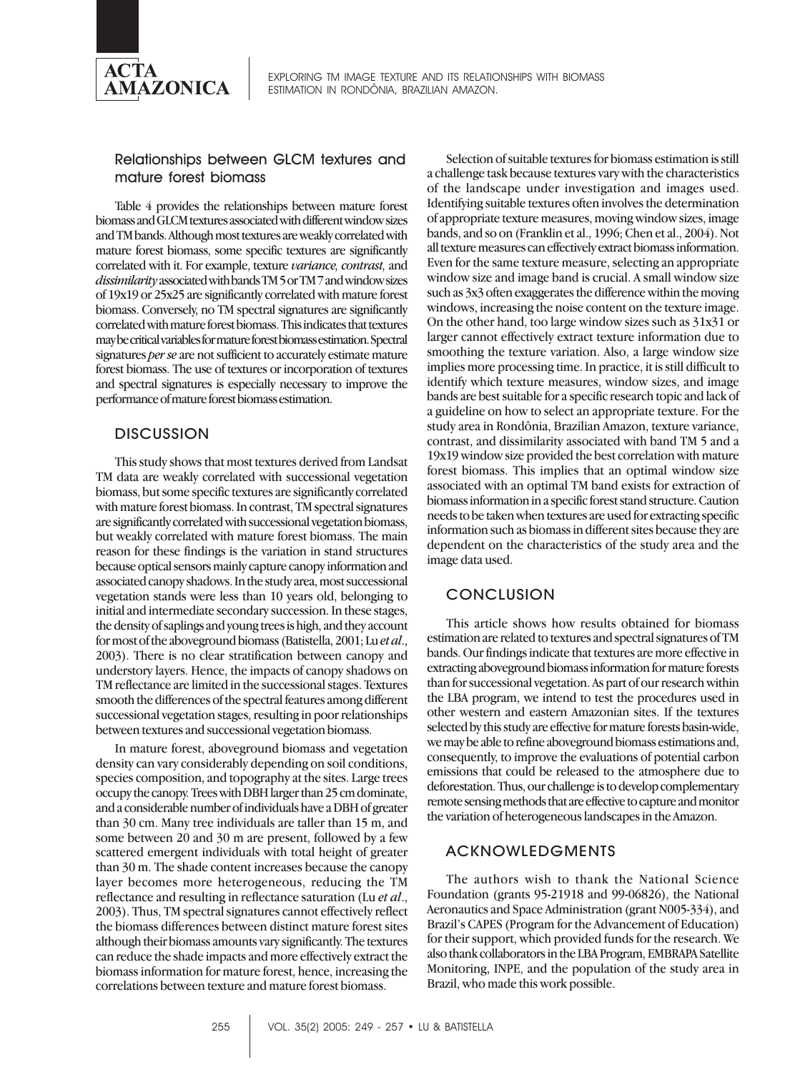

EXPLORING TM IMAGE TEXTURE AND ITS RELATIONSHIPS WITH BIOMASS ESTIMATION IN RONDÔNIA, BRAZILIAN AMAZON.

#### Relationships between GLCM textures and mature forest biomass

Table 4 provides the relationships between mature forest biomass and GLCM textures associated with different window sizes and TM bands. Although most textures are weakly correlated with mature forest biomass, some specific textures are significantly correlated with it. For example, texture *variance, contrast,* and *dissimilarity* associated with bands TM 5 or TM 7 and window sizes of 19x19 or 25x25 are significantly correlated with mature forest biomass. Conversely, no TM spectral signatures are significantly correlated with mature forest biomass. This indicates that textures may be critical variables for mature forest biomass estimation. Spectral signatures *per se* are not sufficient to accurately estimate mature forest biomass. The use of textures or incorporation of textures and spectral signatures is especially necessary to improve the performance of mature forest biomass estimation.

## **DISCUSSION**

This study shows that most textures derived from Landsat TM data are weakly correlated with successional vegetation biomass, but some specific textures are significantly correlated with mature forest biomass. In contrast, TM spectral signatures are significantly correlated with successional vegetation biomass, but weakly correlated with mature forest biomass. The main reason for these findings is the variation in stand structures because optical sensors mainly capture canopy information and associated canopy shadows. In the study area, most successional vegetation stands were less than 10 years old, belonging to initial and intermediate secondary succession. In these stages, the density of saplings and young trees is high, and they account for most of the aboveground biomass (Batistella, 2001; Lu *et al*., 2003). There is no clear stratification between canopy and understory layers. Hence, the impacts of canopy shadows on TM reflectance are limited in the successional stages. Textures smooth the differences of the spectral features among different successional vegetation stages, resulting in poor relationships between textures and successional vegetation biomass.

In mature forest, aboveground biomass and vegetation density can vary considerably depending on soil conditions, species composition, and topography at the sites. Large trees occupy the canopy. Trees with DBH larger than 25 cm dominate, and a considerable number of individuals have a DBH of greater than 30 cm. Many tree individuals are taller than 15 m, and some between 20 and 30 m are present, followed by a few scattered emergent individuals with total height of greater than 30 m. The shade content increases because the canopy layer becomes more heterogeneous, reducing the TM reflectance and resulting in reflectance saturation (Lu *et al*., 2003). Thus, TM spectral signatures cannot effectively reflect the biomass differences between distinct mature forest sites although their biomass amounts vary significantly. The textures can reduce the shade impacts and more effectively extract the biomass information for mature forest, hence, increasing the correlations between texture and mature forest biomass.

Selection of suitable textures for biomass estimation is still a challenge task because textures vary with the characteristics of the landscape under investigation and images used. Identifying suitable textures often involves the determination of appropriate texture measures, moving window sizes, image bands, and so on (Franklin et al., 1996; Chen et al., 2004). Not all texture measures can effectively extract biomass information. Even for the same texture measure, selecting an appropriate window size and image band is crucial. A small window size such as 3x3 often exaggerates the difference within the moving windows, increasing the noise content on the texture image. On the other hand, too large window sizes such as 31x31 or larger cannot effectively extract texture information due to smoothing the texture variation. Also, a large window size implies more processing time. In practice, it is still difficult to identify which texture measures, window sizes, and image bands are best suitable for a specific research topic and lack of a guideline on how to select an appropriate texture. For the study area in Rondônia, Brazilian Amazon, texture variance, contrast, and dissimilarity associated with band TM 5 and a 19x19 window size provided the best correlation with mature forest biomass. This implies that an optimal window size associated with an optimal TM band exists for extraction of biomass information in a specific forest stand structure. Caution needs to be taken when textures are used for extracting specific information such as biomass in different sites because they are dependent on the characteristics of the study area and the image data used.

## **CONCLUSION**

This article shows how results obtained for biomass estimation are related to textures and spectral signatures of TM bands. Our findings indicate that textures are more effective in extracting aboveground biomass information for mature forests than for successional vegetation. As part of our research within the LBA program, we intend to test the procedures used in other western and eastern Amazonian sites. If the textures selected by this study are effective for mature forests basin-wide, we may be able to refine aboveground biomass estimations and, consequently, to improve the evaluations of potential carbon emissions that could be released to the atmosphere due to deforestation. Thus, our challenge is to develop complementary remote sensing methods that are effective to capture and monitor the variation of heterogeneous landscapes in the Amazon.

#### ACKNOWLEDGMENTS

The authors wish to thank the National Science Foundation (grants 95-21918 and 99-06826), the National Aeronautics and Space Administration (grant N005-334), and Brazil's CAPES (Program for the Advancement of Education) for their support, which provided funds for the research. We also thank collaborators in the LBA Program, EMBRAPA Satellite Monitoring, INPE, and the population of the study area in Brazil, who made this work possible.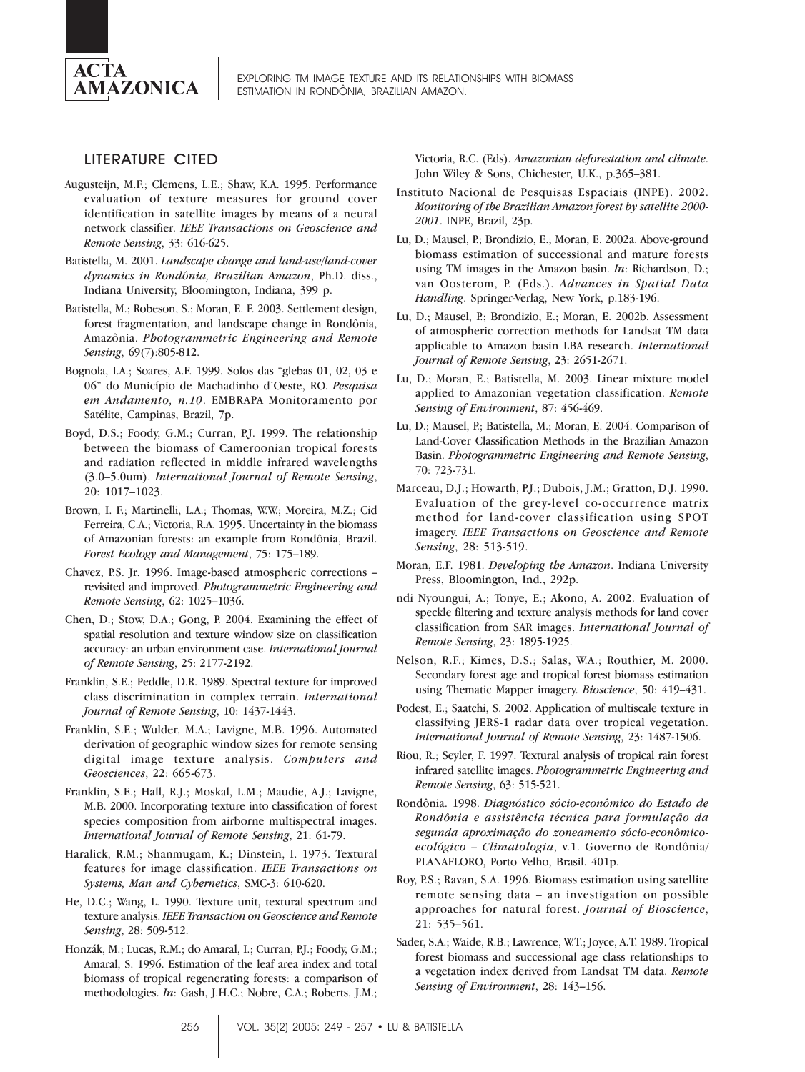

#### LITERATURE CITED

- Augusteijn, M.F.; Clemens, L.E.; Shaw, K.A. 1995. Performance evaluation of texture measures for ground cover identification in satellite images by means of a neural network classifier. *IEEE Transactions on Geoscience and Remote Sensing*, 33: 616-625.
- Batistella, M. 2001. *Landscape change and land-use/land-cover dynamics in Rondônia, Brazilian Amazon*, Ph.D. diss., Indiana University, Bloomington, Indiana, 399 p.
- Batistella, M.; Robeson, S.; Moran, E. F. 2003. Settlement design, forest fragmentation, and landscape change in Rondônia, Amazônia. *Photogrammetric Engineering and Remote Sensing*, 69(7):805-812.
- Bognola, I.A.; Soares, A.F. 1999. Solos das "glebas 01, 02, 03 e 06" do Município de Machadinho d'Oeste, RO. *Pesquisa em Andamento, n.10*. EMBRAPA Monitoramento por Satélite, Campinas, Brazil, 7p.
- Boyd, D.S.; Foody, G.M.; Curran, P.J. 1999. The relationship between the biomass of Cameroonian tropical forests and radiation reflected in middle infrared wavelengths (3.0–5.0um). *International Journal of Remote Sensing*, 20: 1017–1023.
- Brown, I. F.; Martinelli, L.A.; Thomas, W.W.; Moreira, M.Z.; Cid Ferreira, C.A.; Victoria, R.A. 1995. Uncertainty in the biomass of Amazonian forests: an example from Rondônia, Brazil. *Forest Ecology and Management*, 75: 175–189.
- Chavez, P.S. Jr. 1996. Image-based atmospheric corrections revisited and improved. *Photogrammetric Engineering and Remote Sensing*, 62: 1025–1036.
- Chen, D.; Stow, D.A.; Gong, P. 2004. Examining the effect of spatial resolution and texture window size on classification accuracy: an urban environment case. *International Journal of Remote Sensing*, 25: 2177-2192.
- Franklin, S.E.; Peddle, D.R. 1989. Spectral texture for improved class discrimination in complex terrain. *International Journal of Remote Sensing*, 10: 1437-1443.
- Franklin, S.E.; Wulder, M.A.; Lavigne, M.B. 1996. Automated derivation of geographic window sizes for remote sensing digital image texture analysis. *Computers and Geosciences*, 22: 665-673.
- Franklin, S.E.; Hall, R.J.; Moskal, L.M.; Maudie, A.J.; Lavigne, M.B. 2000. Incorporating texture into classification of forest species composition from airborne multispectral images. *International Journal of Remote Sensing*, 21: 61-79.
- Haralick, R.M.; Shanmugam, K.; Dinstein, I. 1973. Textural features for image classification. *IEEE Transactions on Systems, Man and Cybernetics*, SMC-3: 610-620.
- He, D.C.; Wang, L. 1990. Texture unit, textural spectrum and texture analysis. *IEEE Transaction on Geoscience and Remote Sensing*, 28: 509-512.
- Honzák, M.; Lucas, R.M.; do Amaral, I.; Curran, P.J.; Foody, G.M.; Amaral, S. 1996. Estimation of the leaf area index and total biomass of tropical regenerating forests: a comparison of methodologies. *In*: Gash, J.H.C.; Nobre, C.A.; Roberts, J.M.;

Victoria, R.C. (Eds). *Amazonian deforestation and climate*. John Wiley & Sons, Chichester, U.K., p.365–381.

- Instituto Nacional de Pesquisas Espaciais (INPE). 2002. *Monitoring of the Brazilian Amazon forest by satellite 2000- 2001*. INPE, Brazil, 23p.
- Lu, D.; Mausel, P.; Brondizio, E.; Moran, E. 2002a. Above-ground biomass estimation of successional and mature forests using TM images in the Amazon basin. *In*: Richardson, D.; van Oosterom, P. (Eds.). *Advances in Spatial Data Handling*. Springer-Verlag, New York, p.183-196.
- Lu, D.; Mausel, P.; Brondizio, E.; Moran, E. 2002b. Assessment of atmospheric correction methods for Landsat TM data applicable to Amazon basin LBA research. *International Journal of Remote Sensing*, 23: 2651-2671.
- Lu, D.; Moran, E.; Batistella, M. 2003. Linear mixture model applied to Amazonian vegetation classification. *Remote Sensing of Environment*, 87: 456-469.
- Lu, D.; Mausel, P.; Batistella, M.; Moran, E. 2004. Comparison of Land-Cover Classification Methods in the Brazilian Amazon Basin. *Photogrammetric Engineering and Remote Sensing*, 70: 723-731.
- Marceau, D.J.; Howarth, P.J.; Dubois, J.M.; Gratton, D.J. 1990. Evaluation of the grey-level co-occurrence matrix method for land-cover classification using SPOT imagery. *IEEE Transactions on Geoscience and Remote Sensing*, 28: 513-519.
- Moran, E.F. 1981. *Developing the Amazon*. Indiana University Press, Bloomington, Ind., 292p.
- ndi Nyoungui, A.; Tonye, E.; Akono, A. 2002. Evaluation of speckle filtering and texture analysis methods for land cover classification from SAR images. *International Journal of Remote Sensing*, 23: 1895-1925.
- Nelson, R.F.; Kimes, D.S.; Salas, W.A.; Routhier, M. 2000. Secondary forest age and tropical forest biomass estimation using Thematic Mapper imagery. *Bioscience*, 50: 419–431.
- Podest, E.; Saatchi, S. 2002. Application of multiscale texture in classifying JERS-1 radar data over tropical vegetation. *International Journal of Remote Sensing*, 23: 1487-1506.
- Riou, R.; Seyler, F. 1997. Textural analysis of tropical rain forest infrared satellite images. *Photogrammetric Engineering and Remote Sensing*, 63: 515-521.
- Rondônia. 1998. *Diagnóstico sócio-econômico do Estado de Rondônia e assistência técnica para formulação da segunda aproximação do zoneamento sócio-econômicoecológico – Climatologia*, v.1. Governo de Rondônia/ PLANAFLORO, Porto Velho, Brasil. 401p.
- Roy, P.S.; Ravan, S.A. 1996. Biomass estimation using satellite remote sensing data – an investigation on possible approaches for natural forest. *Journal of Bioscience*, 21: 535–561.
- Sader, S.A.; Waide, R.B.; Lawrence, W.T.; Joyce, A.T. 1989. Tropical forest biomass and successional age class relationships to a vegetation index derived from Landsat TM data. *Remote Sensing of Environment*, 28: 143–156.